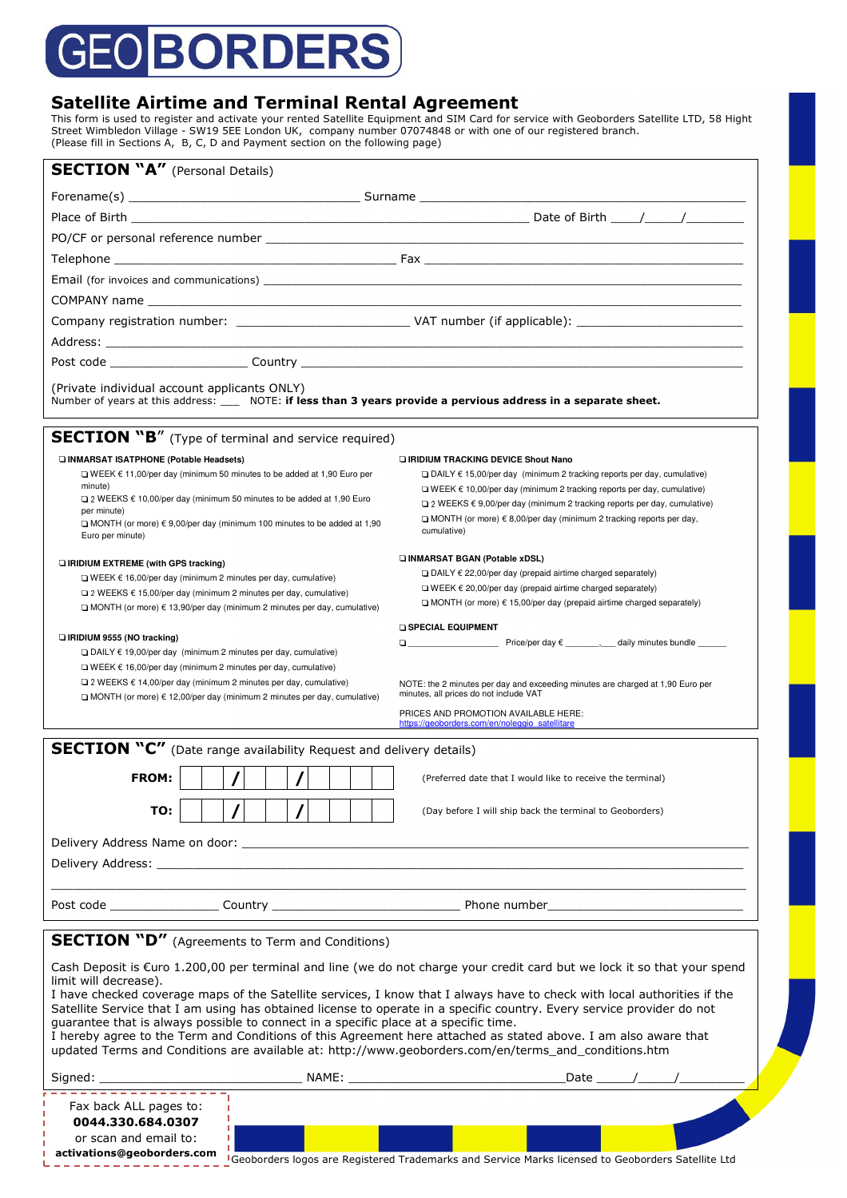# **BORDERS** 5ŀ

### **Satellite Airtime and Terminal Rental Agreement**

This form is used to register and activate your rented Satellite Equipment and SIM Card for service with Geoborders Satellite LTD, 58 Hight Street Wimbledon Village - SW19 5EE London UK, company number 07074848 or with one of our registered branch. (Please fill in Sections A, B, C, D and Payment section on the following page)

|                                                                                                                                                                            |  |   | <b>SECTION "A"</b> (Personal Details) |  |  |  |                                                                                     |                                                                                                                                                                                                                                |  |  |  |
|----------------------------------------------------------------------------------------------------------------------------------------------------------------------------|--|---|---------------------------------------|--|--|--|-------------------------------------------------------------------------------------|--------------------------------------------------------------------------------------------------------------------------------------------------------------------------------------------------------------------------------|--|--|--|
|                                                                                                                                                                            |  |   |                                       |  |  |  |                                                                                     |                                                                                                                                                                                                                                |  |  |  |
|                                                                                                                                                                            |  |   |                                       |  |  |  |                                                                                     |                                                                                                                                                                                                                                |  |  |  |
|                                                                                                                                                                            |  |   |                                       |  |  |  |                                                                                     |                                                                                                                                                                                                                                |  |  |  |
|                                                                                                                                                                            |  |   |                                       |  |  |  |                                                                                     |                                                                                                                                                                                                                                |  |  |  |
|                                                                                                                                                                            |  |   |                                       |  |  |  |                                                                                     | Email (for invoices and communications) example and the state of the state of the state of the state of the state of the state of the state of the state of the state of the state of the state of the state of the state of t |  |  |  |
|                                                                                                                                                                            |  |   |                                       |  |  |  |                                                                                     |                                                                                                                                                                                                                                |  |  |  |
|                                                                                                                                                                            |  |   |                                       |  |  |  |                                                                                     |                                                                                                                                                                                                                                |  |  |  |
|                                                                                                                                                                            |  |   |                                       |  |  |  |                                                                                     |                                                                                                                                                                                                                                |  |  |  |
|                                                                                                                                                                            |  |   |                                       |  |  |  |                                                                                     |                                                                                                                                                                                                                                |  |  |  |
| (Private individual account applicants ONLY)                                                                                                                               |  |   |                                       |  |  |  |                                                                                     | Number of years at this address: ____ NOTE: if less than 3 years provide a pervious address in a separate sheet.                                                                                                               |  |  |  |
| <b>SECTION "B"</b> (Type of terminal and service required)                                                                                                                 |  |   |                                       |  |  |  |                                                                                     |                                                                                                                                                                                                                                |  |  |  |
| INMARSAT ISATPHONE (Potable Headsets)                                                                                                                                      |  |   |                                       |  |  |  |                                                                                     | <b>LIRIDIUM TRACKING DEVICE Shout Nano</b>                                                                                                                                                                                     |  |  |  |
| □ WEEK $€ 11,00$ /per day (minimum 50 minutes to be added at 1,90 Euro per<br>minute)                                                                                      |  |   |                                       |  |  |  |                                                                                     | $\Box$ DAILY $\epsilon$ 15,00/per day (minimum 2 tracking reports per day, cumulative)                                                                                                                                         |  |  |  |
| □ 2 WEEKS $\epsilon$ 10,00/per day (minimum 50 minutes to be added at 1,90 Euro                                                                                            |  |   |                                       |  |  |  |                                                                                     | $\Box$ WEEK $\epsilon$ 10,00/per day (minimum 2 tracking reports per day, cumulative)<br>$\Box$ 2 WEEKS $\epsilon$ 9,00/per day (minimum 2 tracking reports per day, cumulative)                                               |  |  |  |
| per minute)<br>$\Box$ MONTH (or more) $\in$ 9,00/per day (minimum 100 minutes to be added at 1,90                                                                          |  |   |                                       |  |  |  | $\Box$ MONTH (or more) $\epsilon$ 8,00/per day (minimum 2 tracking reports per day, |                                                                                                                                                                                                                                |  |  |  |
| Euro per minute)                                                                                                                                                           |  |   |                                       |  |  |  |                                                                                     | cumulative)                                                                                                                                                                                                                    |  |  |  |
| <b>Q IRIDIUM EXTREME (with GPS tracking)</b>                                                                                                                               |  |   |                                       |  |  |  |                                                                                     | INMARSAT BGAN (Potable xDSL)                                                                                                                                                                                                   |  |  |  |
| $\Box$ WEEK $\epsilon$ 16,00/per day (minimum 2 minutes per day, cumulative)                                                                                               |  |   |                                       |  |  |  |                                                                                     | $\Box$ DAILY $\epsilon$ 22,00/per day (prepaid airtime charged separately)<br>$\Box$ WEEK $\epsilon$ 20,00/per day (prepaid airtime charged separately)                                                                        |  |  |  |
| $\Box$ 2 WEEKS $\epsilon$ 15,00/per day (minimum 2 minutes per day, cumulative)<br>$\Box$ MONTH (or more) $\epsilon$ 13,90/per day (minimum 2 minutes per day, cumulative) |  |   |                                       |  |  |  |                                                                                     | $\Box$ MONTH (or more) $\epsilon$ 15,00/per day (prepaid airtime charged separately)                                                                                                                                           |  |  |  |
|                                                                                                                                                                            |  |   |                                       |  |  |  |                                                                                     | <b>G SPECIAL EQUIPMENT</b>                                                                                                                                                                                                     |  |  |  |
| <b>E</b> IRIDIUM 9555 (NO tracking)                                                                                                                                        |  |   |                                       |  |  |  |                                                                                     | $\Box$ Price/per day $\epsilon$ , daily minutes bundle                                                                                                                                                                         |  |  |  |
| $\Box$ DAILY $\epsilon$ 19,00/per day (minimum 2 minutes per day, cumulative)                                                                                              |  |   |                                       |  |  |  |                                                                                     |                                                                                                                                                                                                                                |  |  |  |
| $\Box$ WEEK $\epsilon$ 16,00/per day (minimum 2 minutes per day, cumulative)                                                                                               |  |   |                                       |  |  |  |                                                                                     |                                                                                                                                                                                                                                |  |  |  |
| $\Box$ 2 WEEKS $\epsilon$ 14,00/per day (minimum 2 minutes per day, cumulative)                                                                                            |  |   |                                       |  |  |  |                                                                                     | NOTE: the 2 minutes per day and exceeding minutes are charged at 1,90 Euro per                                                                                                                                                 |  |  |  |
| $\Box$ MONTH (or more) $\epsilon$ 12,00/per day (minimum 2 minutes per day, cumulative)                                                                                    |  |   |                                       |  |  |  |                                                                                     | minutes, all prices do not include VAT                                                                                                                                                                                         |  |  |  |
|                                                                                                                                                                            |  |   |                                       |  |  |  |                                                                                     | PRICES AND PROMOTION AVAILABLE HERE:<br>https://geoborders.com/en/noleggio satellitare                                                                                                                                         |  |  |  |
| <b>SECTION "C"</b> (Date range availability Request and delivery details)                                                                                                  |  |   |                                       |  |  |  |                                                                                     |                                                                                                                                                                                                                                |  |  |  |
| <b>FROM:</b>                                                                                                                                                               |  |   |                                       |  |  |  |                                                                                     | (Preferred date that I would like to receive the terminal)                                                                                                                                                                     |  |  |  |
|                                                                                                                                                                            |  |   |                                       |  |  |  |                                                                                     |                                                                                                                                                                                                                                |  |  |  |
| TO:                                                                                                                                                                        |  |   |                                       |  |  |  |                                                                                     | (Day before I will ship back the terminal to Geoborders)                                                                                                                                                                       |  |  |  |
|                                                                                                                                                                            |  |   |                                       |  |  |  |                                                                                     |                                                                                                                                                                                                                                |  |  |  |
|                                                                                                                                                                            |  |   |                                       |  |  |  |                                                                                     | Delivery Address: the contract of the contract of the contract of the contract of the contract of the contract of the contract of the contract of the contract of the contract of the contract of the contract of the contract |  |  |  |
|                                                                                                                                                                            |  |   |                                       |  |  |  |                                                                                     |                                                                                                                                                                                                                                |  |  |  |
|                                                                                                                                                                            |  |   |                                       |  |  |  |                                                                                     |                                                                                                                                                                                                                                |  |  |  |
| <b>SECTION "D"</b> (Agreements to Term and Conditions)                                                                                                                     |  |   |                                       |  |  |  |                                                                                     |                                                                                                                                                                                                                                |  |  |  |
|                                                                                                                                                                            |  |   |                                       |  |  |  |                                                                                     |                                                                                                                                                                                                                                |  |  |  |
| limit will decrease).                                                                                                                                                      |  |   |                                       |  |  |  |                                                                                     | Cash Deposit is €uro 1.200,00 per terminal and line (we do not charge your credit card but we lock it so that your spend                                                                                                       |  |  |  |
|                                                                                                                                                                            |  |   |                                       |  |  |  |                                                                                     | I have checked coverage maps of the Satellite services, I know that I always have to check with local authorities if the                                                                                                       |  |  |  |
|                                                                                                                                                                            |  |   |                                       |  |  |  |                                                                                     | Satellite Service that I am using has obtained license to operate in a specific country. Every service provider do not<br>guarantee that is always possible to connect in a specific place at a specific time.                 |  |  |  |
|                                                                                                                                                                            |  |   |                                       |  |  |  |                                                                                     | I hereby agree to the Term and Conditions of this Agreement here attached as stated above. I am also aware that                                                                                                                |  |  |  |
|                                                                                                                                                                            |  |   |                                       |  |  |  |                                                                                     | updated Terms and Conditions are available at: http://www.geoborders.com/en/terms_and_conditions.htm                                                                                                                           |  |  |  |
|                                                                                                                                                                            |  |   |                                       |  |  |  |                                                                                     |                                                                                                                                                                                                                                |  |  |  |
| Fax back ALL pages to:                                                                                                                                                     |  |   |                                       |  |  |  |                                                                                     |                                                                                                                                                                                                                                |  |  |  |
| 0044.330.684.0307<br>or scan and email to:                                                                                                                                 |  | т |                                       |  |  |  |                                                                                     |                                                                                                                                                                                                                                |  |  |  |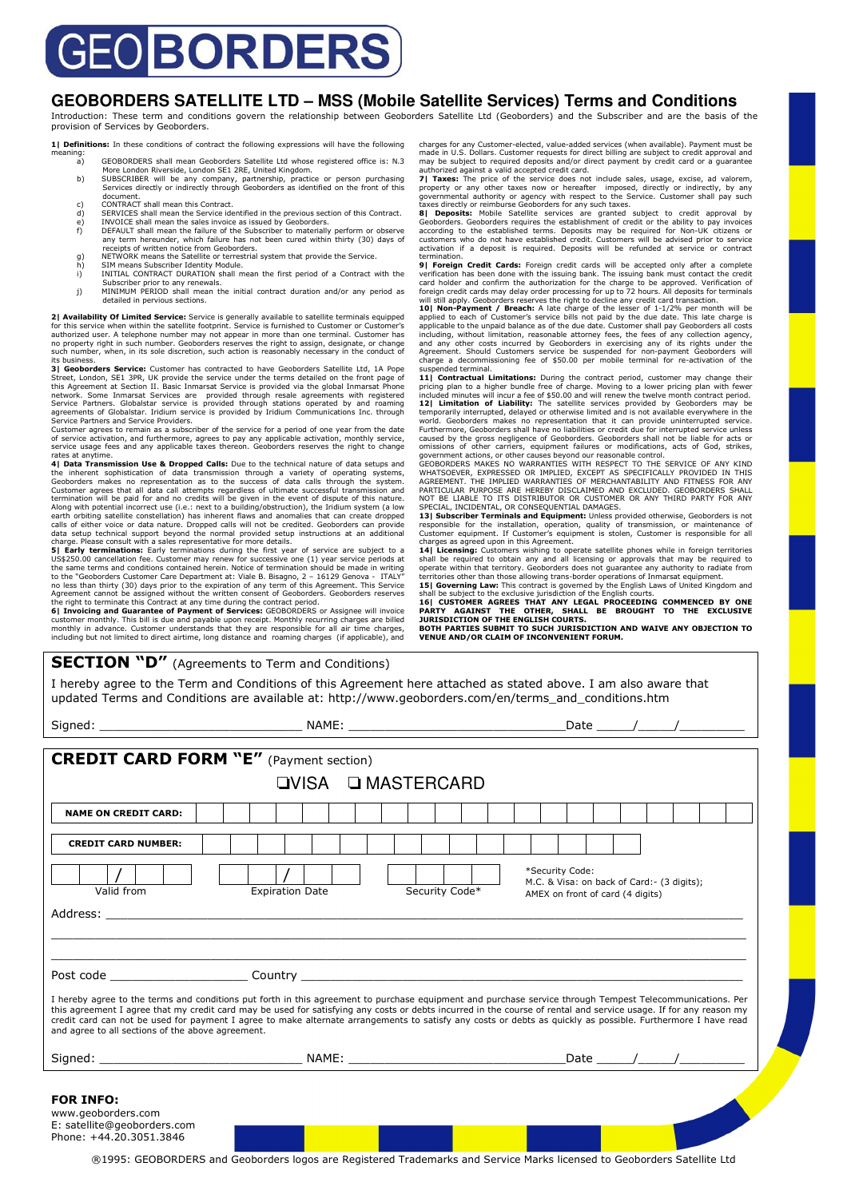# EO BORDERS

#### **GEOBORDERS SATELLITE LTD – MSS (Mobile Satellite Services) Terms and Conditions**

Introduction: These term and conditions govern the relationship between Geoborders Satellite Ltd (Geoborders) and the Subscriber and are the basis of the provision of Services by Geoborders.

1| **Definitions:** In these conditions of contract the following expressions will have the following meaning:<br>a)

- a) GEOBORDERS shall mean Geoborders Satellite Ltd whose registered office is: N.3
- More London Riverside, London SE1 2RE, United Kingdom.<br>SUBSCRIBER will be any company, partnership, practice or person purchasing<br>Services directly or indirectly through Geoborders as identified on the front of this<br>docume
- c) CONTRACT shall mean this Contract.<br>
d) SERVICES shall mean the Service ide
- d) SERVICES shall mean the Service identified in the previous section of this Contract.<br>
(PINVOICE shall mean the sales invoice as issued by Geoborders.<br>
(F) DEFAULT shall mean the failure of the Subscriber to materially p
- 
- g) NETWORK means the Satellite or terres<br>h) SIM means Subscriber Identity Module.<br>i) INITIAL CONTRACT DURATION shall n
- i) INITIAL CONTRACT DURATION shall mean the first period of a Contract with the Subscriber prior to any renewals. j) MINIMUM PERIOD shall mean the initial contract duration and/or any period as
- detailed in pervious sections.

**2) Availability Of Limited Service:** Service is generally available to satellite terminals equipped<br>for this service when within the satellite footprint. Service is furnished to Customer or Customer's<br>authorized user. A t its business.

**3| Geoborders Service:** Customer has contracted to have Geoborders Satellite Ltd, 1A Pope Street, London, SE1 3PR, UK provide the service under the terms detailed on the front page of<br>this Agreement at Section II. Basic Inmarsat Service is provided via the global Inmarsat Phone<br>network. Some Inmarsat Services a Service Partners and Service Providers.

Customer agrees to remain as a subscriber of the service for a period of one year from the date of service activation, and furthermore, agrees to pay any applicable activation, monthly service,<br>service usage fees and any applicable taxes thereon. Geoborders reserves the right to change rates at anytime.

**4| Data Transmission Use & Dropped Calls:** Due to the technical nature of data setups and the inherent sophistication of data transmission through a variety of operating systems, Geoborders makes no representation as to the success of data calls through the system.<br>Customer agrees that all data call attempts re

data setup technical support beyond the normal provided setup instructions at an additional<br>charge. Please consult with a sales representative for more details.<br>**5| Early terminations:** Early terminations during the first to the "Geoborders Customer Care Department at: Viale B. Bisagno, 2 – 16129 Genova - ITALY" no less than thirty (30) days prior to the expiration of any term of this Agreement. This Service<br>Agreement cannot be assigned without the written consent of Geoborders. Geoborders reserves<br>the right to terminate this Cont

**6| Invoicing and Guarantee of Payment of Services:** GEOBORDERS or Assignee will invoice customer monthly. This bill is due and payable upon receipt. Monthly recurring charges are billed monthly in advance. Customer understands that they are responsible for all air time charges, including but not limited to direct airtime, long distance and roaming charges (if applicable), and charges for any Customer-elected, value-added services (when available). Payment must be made in U.S. Dollars. Customer requests for direct billing are subject to credit approval and may be subject to required deposits and/or direct payment by credit card or a guarantee

authorized against a valid accepted credit card.<br>**7| Taxes:** The price of the service does not include sales, usage, excise, ad valorem,<br>property or any other taxes now or hereafter imposed, directly or indirectly, by any<br> taxes directly or reimburse Geoborders for any such taxes.

**8] Deposits:** Mobile Satellite services are granted subject to credit approval by Ge**oborders.** Geoborders requires the establishment of credit or the ability to pay invoices according to the established terms. Deposits m termination.

**9| Foreign Credit Cards:** Foreign credit cards will be accepted only after a complete verification has been done with the issuing bank. The issuing bank must contact the credit<br>card holder and confirm the authorization for the charge to be approved. Verification of<br>foreign credit cards may delay order proce

**10| Non-Payment / Breach:** A late charge of the lesser of 1-1/2% per month will be applied to each of Customer's service bills not paid by the due date. This late charge is applicable to the unpaid balance as of the due date. Customer shall pay Geoborders all costs including, without limitation, reasonab

suspended terminal. Limitations: During the contract period, customer may change their<br>11 Contractual Limitations: During the contract period, customer may change their<br>pricing plan to a higher bundle free of spo.00 and wi world. Geoborders makes no representation that it can provide uninterrupted service.<br>Furthermore, Geoborders shall have no liabilities or credit due for interrupted service unless

Furthermore, Geoborders shall have no liabilities or credit due for interrupted service unless<br>caused by the gross negligence of Geoborders. Geoborders shall not be liable for acts or<br>omissions of other carriers, equipment

Customer equipment. If Customer's equipment is stolen, Customer is responsible for all<br>charges as agreed upon in this Agreement.<br>**14| Licensing:** Customers wishing to operate satellite phones while in foreign territories<br>s territories other than those allowing trans-border operations of Inmarsat equipment.

**15| Governing Law:** This contract is governed by the English Laws of United Kingdom and<br>shall be subject to the exclusive jurisdiction of the English courts.<br>16| CUSTOMER AGREES THAT ANY LEGAL PROCEEDING COMMENCED BY ONE **PARTY AGAINST THE OTHER, SHALL BE BROUGHT TO THE EXCLUSIVE JURISDICTION OF THE ENGLISH COURTS. BOTH PARTIES SUBMIT TO SUCH JURISDICTION AND WAIVE ANY OBJECTION TO VENUE AND/OR CLAIM OF INCONVENIENT FORUM.** 

#### **SECTION "D"** (Agreements to Term and Conditions)

I hereby agree to the Term and Conditions of this Agreement here attached as stated above. I am also aware that updated Terms and Conditions are available at: http://www.geoborders.com/en/terms\_and\_conditions.htm

| <b>CREDIT CARD FORM "E"</b> (Payment section)                                                    |                                                                                                                                                                                                                                                                                                                                                                                                                                                                                                |                                                                                                    |  |  |  |  |  |  |  |  |  |
|--------------------------------------------------------------------------------------------------|------------------------------------------------------------------------------------------------------------------------------------------------------------------------------------------------------------------------------------------------------------------------------------------------------------------------------------------------------------------------------------------------------------------------------------------------------------------------------------------------|----------------------------------------------------------------------------------------------------|--|--|--|--|--|--|--|--|--|
|                                                                                                  |                                                                                                                                                                                                                                                                                                                                                                                                                                                                                                |                                                                                                    |  |  |  |  |  |  |  |  |  |
| <b>□VISA □ MASTERCARD</b>                                                                        |                                                                                                                                                                                                                                                                                                                                                                                                                                                                                                |                                                                                                    |  |  |  |  |  |  |  |  |  |
| <b>NAME ON CREDIT CARD:</b>                                                                      |                                                                                                                                                                                                                                                                                                                                                                                                                                                                                                |                                                                                                    |  |  |  |  |  |  |  |  |  |
| <b>CREDIT CARD NUMBER:</b>                                                                       |                                                                                                                                                                                                                                                                                                                                                                                                                                                                                                |                                                                                                    |  |  |  |  |  |  |  |  |  |
| Valid from                                                                                       | Security Code*<br><b>Expiration Date</b>                                                                                                                                                                                                                                                                                                                                                                                                                                                       | *Security Code:<br>M.C. & Visa: on back of Card: - (3 digits);<br>AMEX on front of card (4 digits) |  |  |  |  |  |  |  |  |  |
|                                                                                                  | Address: the contract of the contract of the contract of the contract of the contract of the contract of the contract of the contract of the contract of the contract of the contract of the contract of the contract of the c                                                                                                                                                                                                                                                                 |                                                                                                    |  |  |  |  |  |  |  |  |  |
|                                                                                                  |                                                                                                                                                                                                                                                                                                                                                                                                                                                                                                |                                                                                                    |  |  |  |  |  |  |  |  |  |
| and agree to all sections of the above agreement.                                                | I hereby agree to the terms and conditions put forth in this agreement to purchase equipment and purchase service through Tempest Telecommunications. Per<br>this agreement I agree that my credit card may be used for satisfying any costs or debts incurred in the course of rental and service usage. If for any reason my<br>credit card can not be used for payment I agree to make alternate arrangements to satisfy any costs or debts as quickly as possible. Furthermore I have read |                                                                                                    |  |  |  |  |  |  |  |  |  |
|                                                                                                  |                                                                                                                                                                                                                                                                                                                                                                                                                                                                                                |                                                                                                    |  |  |  |  |  |  |  |  |  |
| <b>FOR INFO:</b><br>www.geoborders.com<br>E: satellite@geoborders.com<br>Phone: +44.20.3051.3846 |                                                                                                                                                                                                                                                                                                                                                                                                                                                                                                |                                                                                                    |  |  |  |  |  |  |  |  |  |